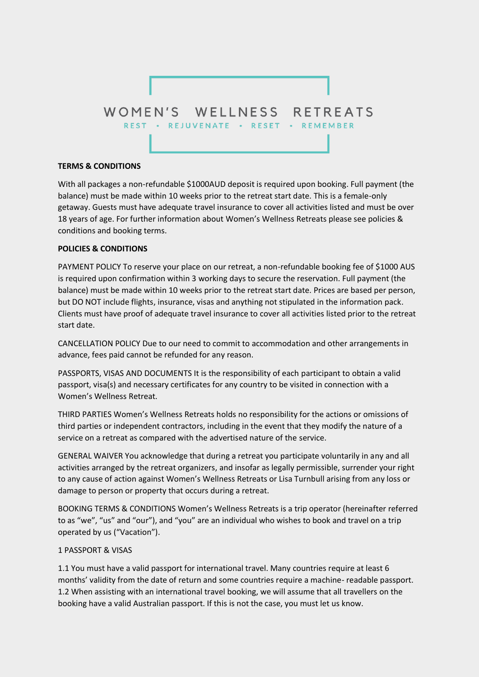

## **TERMS & CONDITIONS**

With all packages a non-refundable \$1000AUD deposit is required upon booking. Full payment (the balance) must be made within 10 weeks prior to the retreat start date. This is a female-only getaway. Guests must have adequate travel insurance to cover all activities listed and must be over 18 years of age. For further information about Women's Wellness Retreats please see policies & conditions and booking terms.

# **POLICIES & CONDITIONS**

PAYMENT POLICY To reserve your place on our retreat, a non-refundable booking fee of \$1000 AUS is required upon confirmation within 3 working days to secure the reservation. Full payment (the balance) must be made within 10 weeks prior to the retreat start date. Prices are based per person, but DO NOT include flights, insurance, visas and anything not stipulated in the information pack. Clients must have proof of adequate travel insurance to cover all activities listed prior to the retreat start date.

CANCELLATION POLICY Due to our need to commit to accommodation and other arrangements in advance, fees paid cannot be refunded for any reason.

PASSPORTS, VISAS AND DOCUMENTS It is the responsibility of each participant to obtain a valid passport, visa(s) and necessary certificates for any country to be visited in connection with a Women's Wellness Retreat.

THIRD PARTIES Women's Wellness Retreats holds no responsibility for the actions or omissions of third parties or independent contractors, including in the event that they modify the nature of a service on a retreat as compared with the advertised nature of the service.

GENERAL WAIVER You acknowledge that during a retreat you participate voluntarily in any and all activities arranged by the retreat organizers, and insofar as legally permissible, surrender your right to any cause of action against Women's Wellness Retreats or Lisa Turnbull arising from any loss or damage to person or property that occurs during a retreat.

BOOKING TERMS & CONDITIONS Women's Wellness Retreats is a trip operator (hereinafter referred to as "we", "us" and "our"), and "you" are an individual who wishes to book and travel on a trip operated by us ("Vacation").

## 1 PASSPORT & VISAS

1.1 You must have a valid passport for international travel. Many countries require at least 6 months' validity from the date of return and some countries require a machine- readable passport. 1.2 When assisting with an international travel booking, we will assume that all travellers on the booking have a valid Australian passport. If this is not the case, you must let us know.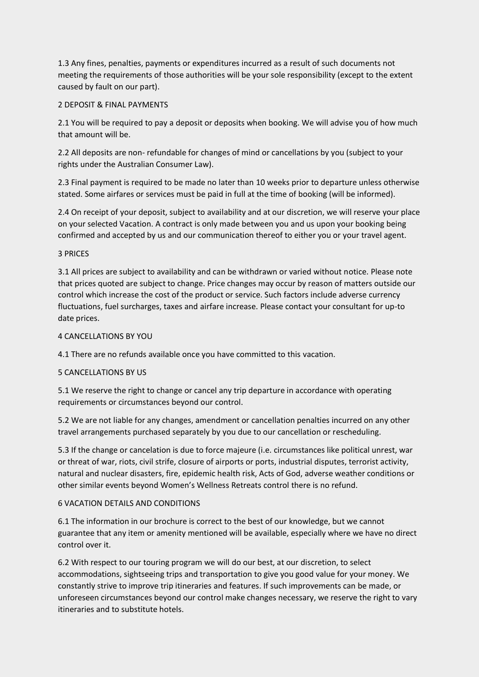1.3 Any fines, penalties, payments or expenditures incurred as a result of such documents not meeting the requirements of those authorities will be your sole responsibility (except to the extent caused by fault on our part).

# 2 DEPOSIT & FINAL PAYMENTS

2.1 You will be required to pay a deposit or deposits when booking. We will advise you of how much that amount will be.

2.2 All deposits are non- refundable for changes of mind or cancellations by you (subject to your rights under the Australian Consumer Law).

2.3 Final payment is required to be made no later than 10 weeks prior to departure unless otherwise stated. Some airfares or services must be paid in full at the time of booking (will be informed).

2.4 On receipt of your deposit, subject to availability and at our discretion, we will reserve your place on your selected Vacation. A contract is only made between you and us upon your booking being confirmed and accepted by us and our communication thereof to either you or your travel agent.

# 3 PRICES

3.1 All prices are subject to availability and can be withdrawn or varied without notice. Please note that prices quoted are subject to change. Price changes may occur by reason of matters outside our control which increase the cost of the product or service. Such factors include adverse currency fluctuations, fuel surcharges, taxes and airfare increase. Please contact your consultant for up-to date prices.

## 4 CANCELLATIONS BY YOU

4.1 There are no refunds available once you have committed to this vacation.

## 5 CANCELLATIONS BY US

5.1 We reserve the right to change or cancel any trip departure in accordance with operating requirements or circumstances beyond our control.

5.2 We are not liable for any changes, amendment or cancellation penalties incurred on any other travel arrangements purchased separately by you due to our cancellation or rescheduling.

5.3 If the change or cancelation is due to force majeure (i.e. circumstances like political unrest, war or threat of war, riots, civil strife, closure of airports or ports, industrial disputes, terrorist activity, natural and nuclear disasters, fire, epidemic health risk, Acts of God, adverse weather conditions or other similar events beyond Women's Wellness Retreats control there is no refund.

# 6 VACATION DETAILS AND CONDITIONS

6.1 The information in our brochure is correct to the best of our knowledge, but we cannot guarantee that any item or amenity mentioned will be available, especially where we have no direct control over it.

6.2 With respect to our touring program we will do our best, at our discretion, to select accommodations, sightseeing trips and transportation to give you good value for your money. We constantly strive to improve trip itineraries and features. If such improvements can be made, or unforeseen circumstances beyond our control make changes necessary, we reserve the right to vary itineraries and to substitute hotels.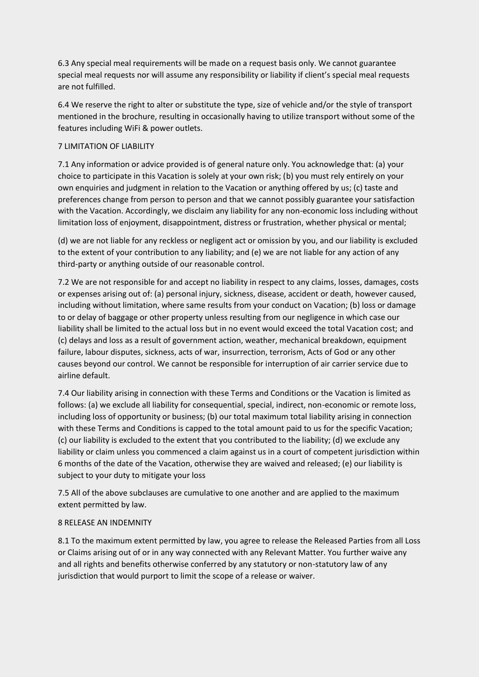6.3 Any special meal requirements will be made on a request basis only. We cannot guarantee special meal requests nor will assume any responsibility or liability if client's special meal requests are not fulfilled.

6.4 We reserve the right to alter or substitute the type, size of vehicle and/or the style of transport mentioned in the brochure, resulting in occasionally having to utilize transport without some of the features including WiFi & power outlets.

## 7 LIMITATION OF LIABILITY

7.1 Any information or advice provided is of general nature only. You acknowledge that: (a) your choice to participate in this Vacation is solely at your own risk; (b) you must rely entirely on your own enquiries and judgment in relation to the Vacation or anything offered by us; (c) taste and preferences change from person to person and that we cannot possibly guarantee your satisfaction with the Vacation. Accordingly, we disclaim any liability for any non-economic loss including without limitation loss of enjoyment, disappointment, distress or frustration, whether physical or mental;

(d) we are not liable for any reckless or negligent act or omission by you, and our liability is excluded to the extent of your contribution to any liability; and (e) we are not liable for any action of any third-party or anything outside of our reasonable control.

7.2 We are not responsible for and accept no liability in respect to any claims, losses, damages, costs or expenses arising out of: (a) personal injury, sickness, disease, accident or death, however caused, including without limitation, where same results from your conduct on Vacation; (b) loss or damage to or delay of baggage or other property unless resulting from our negligence in which case our liability shall be limited to the actual loss but in no event would exceed the total Vacation cost; and (c) delays and loss as a result of government action, weather, mechanical breakdown, equipment failure, labour disputes, sickness, acts of war, insurrection, terrorism, Acts of God or any other causes beyond our control. We cannot be responsible for interruption of air carrier service due to airline default.

7.4 Our liability arising in connection with these Terms and Conditions or the Vacation is limited as follows: (a) we exclude all liability for consequential, special, indirect, non-economic or remote loss, including loss of opportunity or business; (b) our total maximum total liability arising in connection with these Terms and Conditions is capped to the total amount paid to us for the specific Vacation; (c) our liability is excluded to the extent that you contributed to the liability; (d) we exclude any liability or claim unless you commenced a claim against us in a court of competent jurisdiction within 6 months of the date of the Vacation, otherwise they are waived and released; (e) our liability is subject to your duty to mitigate your loss

7.5 All of the above subclauses are cumulative to one another and are applied to the maximum extent permitted by law.

## 8 RELEASE AN INDEMNITY

8.1 To the maximum extent permitted by law, you agree to release the Released Parties from all Loss or Claims arising out of or in any way connected with any Relevant Matter. You further waive any and all rights and benefits otherwise conferred by any statutory or non-statutory law of any jurisdiction that would purport to limit the scope of a release or waiver.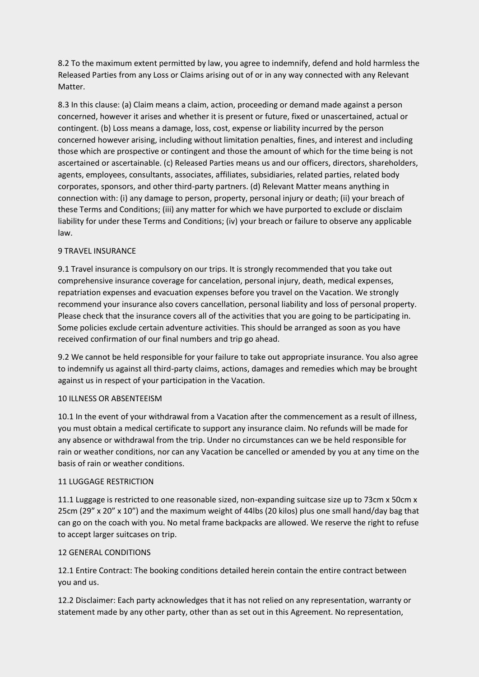8.2 To the maximum extent permitted by law, you agree to indemnify, defend and hold harmless the Released Parties from any Loss or Claims arising out of or in any way connected with any Relevant Matter.

8.3 In this clause: (a) Claim means a claim, action, proceeding or demand made against a person concerned, however it arises and whether it is present or future, fixed or unascertained, actual or contingent. (b) Loss means a damage, loss, cost, expense or liability incurred by the person concerned however arising, including without limitation penalties, fines, and interest and including those which are prospective or contingent and those the amount of which for the time being is not ascertained or ascertainable. (c) Released Parties means us and our officers, directors, shareholders, agents, employees, consultants, associates, affiliates, subsidiaries, related parties, related body corporates, sponsors, and other third-party partners. (d) Relevant Matter means anything in connection with: (i) any damage to person, property, personal injury or death; (ii) your breach of these Terms and Conditions; (iii) any matter for which we have purported to exclude or disclaim liability for under these Terms and Conditions; (iv) your breach or failure to observe any applicable law.

# 9 TRAVEL INSURANCE

9.1 Travel insurance is compulsory on our trips. It is strongly recommended that you take out comprehensive insurance coverage for cancelation, personal injury, death, medical expenses, repatriation expenses and evacuation expenses before you travel on the Vacation. We strongly recommend your insurance also covers cancellation, personal liability and loss of personal property. Please check that the insurance covers all of the activities that you are going to be participating in. Some policies exclude certain adventure activities. This should be arranged as soon as you have received confirmation of our final numbers and trip go ahead.

9.2 We cannot be held responsible for your failure to take out appropriate insurance. You also agree to indemnify us against all third-party claims, actions, damages and remedies which may be brought against us in respect of your participation in the Vacation.

## 10 ILLNESS OR ABSENTEEISM

10.1 In the event of your withdrawal from a Vacation after the commencement as a result of illness, you must obtain a medical certificate to support any insurance claim. No refunds will be made for any absence or withdrawal from the trip. Under no circumstances can we be held responsible for rain or weather conditions, nor can any Vacation be cancelled or amended by you at any time on the basis of rain or weather conditions.

## 11 LUGGAGE RESTRICTION

11.1 Luggage is restricted to one reasonable sized, non-expanding suitcase size up to 73cm x 50cm x 25cm (29" x 20" x 10") and the maximum weight of 44lbs (20 kilos) plus one small hand/day bag that can go on the coach with you. No metal frame backpacks are allowed. We reserve the right to refuse to accept larger suitcases on trip.

# 12 GENERAL CONDITIONS

12.1 Entire Contract: The booking conditions detailed herein contain the entire contract between you and us.

12.2 Disclaimer: Each party acknowledges that it has not relied on any representation, warranty or statement made by any other party, other than as set out in this Agreement. No representation,